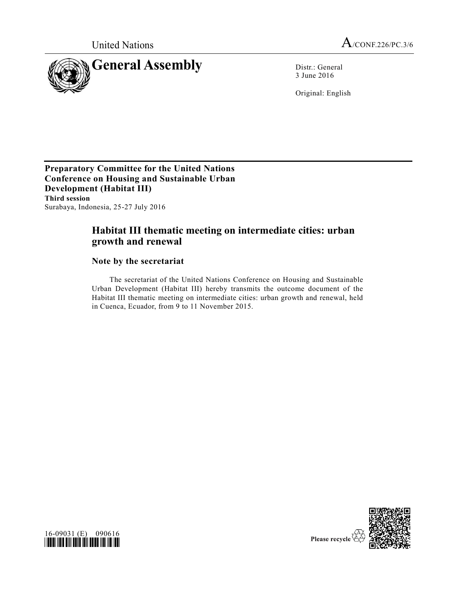

3 June 2016

Original: English

**Preparatory Committee for the United Nations Conference on Housing and Sustainable Urban Development (Habitat III) Third session** Surabaya, Indonesia, 25-27 July 2016

## **Habitat III thematic meeting on intermediate cities: urban growth and renewal**

## **Note by the secretariat**

The secretariat of the United Nations Conference on Housing and Sustainable Urban Development (Habitat III) hereby transmits the outcome document of the Habitat III thematic meeting on intermediate cities: urban growth and renewal, held in Cuenca, Ecuador, from 9 to 11 November 2015.



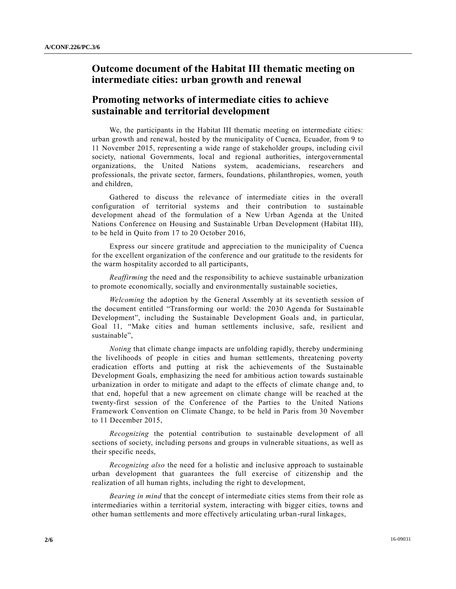## **Outcome document of the Habitat III thematic meeting on intermediate cities: urban growth and renewal**

## **Promoting networks of intermediate cities to achieve sustainable and territorial development**

We, the participants in the Habitat III thematic meeting on intermediate cities: urban growth and renewal, hosted by the municipality of Cuenca, Ecuador, from 9 to 11 November 2015, representing a wide range of stakeholder groups, including civil society, national Governments, local and regional authorities, intergovernmental organizations, the United Nations system, academicians, researchers and professionals, the private sector, farmers, foundations, philanthropies, women, youth and children,

Gathered to discuss the relevance of intermediate cities in the overall configuration of territorial systems and their contribution to sustainable development ahead of the formulation of a New Urban Agenda at the United Nations Conference on Housing and Sustainable Urban Development (Habitat III), to be held in Quito from 17 to 20 October 2016,

Express our sincere gratitude and appreciation to the municipality of Cuenca for the excellent organization of the conference and our gratitude to the residents for the warm hospitality accorded to all participants,

*Reaffirming* the need and the responsibility to achieve sustainable urbanization to promote economically, socially and environmentally sustainable societies,

*Welcoming* the adoption by the General Assembly at its seventieth session of the document entitled "Transforming our world: the 2030 Agenda for Sustainable Development", including the Sustainable Development Goals and, in particular, Goal 11, "Make cities and human settlements inclusive, safe, resilient and sustainable",

*Noting* that climate change impacts are unfolding rapidly, thereby undermining the livelihoods of people in cities and human settlements, threatening poverty eradication efforts and putting at risk the achievements of the Sustainable Development Goals, emphasizing the need for ambitious action towards sustainable urbanization in order to mitigate and adapt to the effects of climate change and, to that end, hopeful that a new agreement on climate change will be reached at the twenty-first session of the Conference of the Parties to the United Nations Framework Convention on Climate Change, to be held in Paris from 30 November to 11 December 2015,

*Recognizing* the potential contribution to sustainable development of all sections of society, including persons and groups in vulnerable situations, as well as their specific needs,

*Recognizing also* the need for a holistic and inclusive approach to sustainable urban development that guarantees the full exercise of citizenship and the realization of all human rights, including the right to development,

*Bearing in mind* that the concept of intermediate cities stems from their role as intermediaries within a territorial system, interacting with bigger cities, towns and other human settlements and more effectively articulating urban-rural linkages,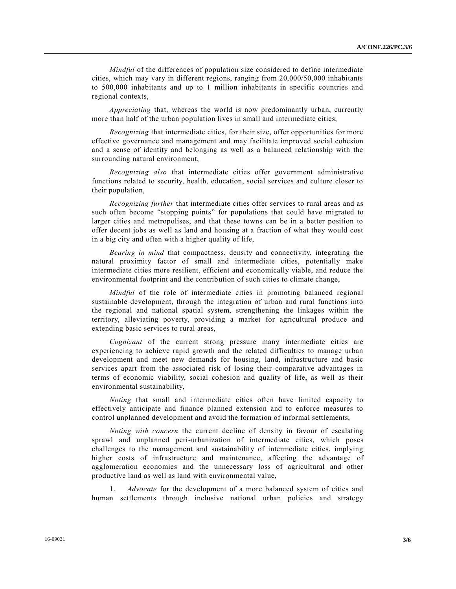*Mindful* of the differences of population size considered to define intermediate cities, which may vary in different regions, ranging from 20,000/50,000 inhabitants to 500,000 inhabitants and up to 1 million inhabitants in specific countries and regional contexts,

*Appreciating* that, whereas the world is now predominantly urban, currently more than half of the urban population lives in small and intermediate cities,

*Recognizing* that intermediate cities, for their size, offer opportunities for more effective governance and management and may facilitate improved social cohesion and a sense of identity and belonging as well as a balanced relationship with the surrounding natural environment,

*Recognizing also* that intermediate cities offer government administrative functions related to security, health, education, social services and culture closer to their population,

*Recognizing further* that intermediate cities offer services to rural areas and as such often become "stopping points" for populations that could have migrated to larger cities and metropolises, and that these towns can be in a better position to offer decent jobs as well as land and housing at a fraction of what they would cost in a big city and often with a higher quality of life,

*Bearing in mind* that compactness, density and connectivity, integrating the natural proximity factor of small and intermediate cities, potentially make intermediate cities more resilient, efficient and economically viable, and reduce the environmental footprint and the contribution of such cities to climate change,

*Mindful* of the role of intermediate cities in promoting balanced regional sustainable development, through the integration of urban and rural functions into the regional and national spatial system, strengthening the linkages within the territory, alleviating poverty, providing a market for agricultural produce and extending basic services to rural areas,

*Cognizant* of the current strong pressure many intermediate cities are experiencing to achieve rapid growth and the related difficulties to manage urban development and meet new demands for housing, land, infrastructure and basic services apart from the associated risk of losing their comparative advantages in terms of economic viability, social cohesion and quality of life, as well as their environmental sustainability,

*Noting* that small and intermediate cities often have limited capacity to effectively anticipate and finance planned extension and to enforce measures to control unplanned development and avoid the formation of informal settlements,

*Noting with concern* the current decline of density in favour of escalating sprawl and unplanned peri-urbanization of intermediate cities, which poses challenges to the management and sustainability of intermediate cities, implying higher costs of infrastructure and maintenance, affecting the advantage of agglomeration economies and the unnecessary loss of agricultural and other productive land as well as land with environmental value,

1. *Advocate* for the development of a more balanced system of cities and human settlements through inclusive national urban policies and strategy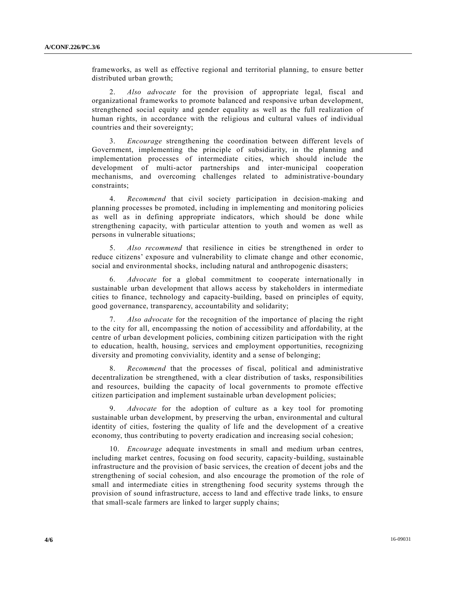frameworks, as well as effective regional and territorial planning, to ensure better distributed urban growth;

2. *Also advocate* for the provision of appropriate legal, fiscal and organizational frameworks to promote balanced and responsive urban development, strengthened social equity and gender equality as well as the full realization of human rights, in accordance with the religious and cultural values of individual countries and their sovereignty;

3. *Encourage* strengthening the coordination between different levels of Government, implementing the principle of subsidiarity, in the planning and implementation processes of intermediate cities, which should include the development of multi-actor partnerships and inter-municipal cooperation mechanisms, and overcoming challenges related to administrative-boundary constraints;

4. *Recommend* that civil society participation in decision-making and planning processes be promoted, including in implementing and monitoring policies as well as in defining appropriate indicators, which should be done while strengthening capacity, with particular attention to youth and women as well as persons in vulnerable situations;

5. *Also recommend* that resilience in cities be strengthened in order to reduce citizens' exposure and vulnerability to climate change and other economic, social and environmental shocks, including natural and anthropogenic disasters;

6. *Advocate* for a global commitment to cooperate internationally in sustainable urban development that allows access by stakeholders in intermediate cities to finance, technology and capacity-building, based on principles of equity, good governance, transparency, accountability and solidarity;

7. *Also advocate* for the recognition of the importance of placing the right to the city for all, encompassing the notion of accessibility and affordability, at the centre of urban development policies, combining citizen participation with the right to education, health, housing, services and employment opportunities, recognizing diversity and promoting conviviality, identity and a sense of belonging;

8. *Recommend* that the processes of fiscal, political and administrative decentralization be strengthened, with a clear distribution of tasks, responsibilities and resources, building the capacity of local governments to promote effective citizen participation and implement sustainable urban development policies;

9. *Advocate* for the adoption of culture as a key tool for promoting sustainable urban development, by preserving the urban, environmental and cultural identity of cities, fostering the quality of life and the development of a creative economy, thus contributing to poverty eradication and increasing social cohesion;

10. *Encourage* adequate investments in small and medium urban centres, including market centres, focusing on food security, capacity-building, sustainable infrastructure and the provision of basic services, the creation of decent jobs and the strengthening of social cohesion, and also encourage the promotion of the role of small and intermediate cities in strengthening food security systems through the provision of sound infrastructure, access to land and effective trade links, to ensure that small-scale farmers are linked to larger supply chains;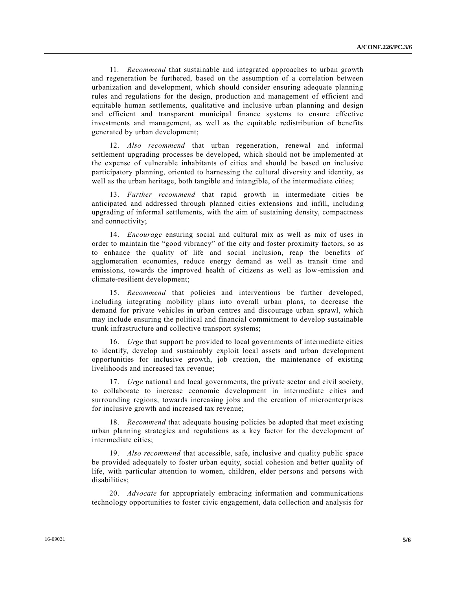11. *Recommend* that sustainable and integrated approaches to urban growth and regeneration be furthered, based on the assumption of a correlation between urbanization and development, which should consider ensuring adequate planning rules and regulations for the design, production and management of efficient and equitable human settlements, qualitative and inclusive urban planning and design and efficient and transparent municipal finance systems to ensure effective investments and management, as well as the equitable redistribution of benefits generated by urban development;

12. *Also recommend* that urban regeneration, renewal and informal settlement upgrading processes be developed, which should not be implemented at the expense of vulnerable inhabitants of cities and should be based on inclusive participatory planning, oriented to harnessing the cultural diversity and identity, as well as the urban heritage, both tangible and intangible, of the intermediate cities;

13. *Further recommend* that rapid growth in intermediate cities be anticipated and addressed through planned cities extensions and infill, including upgrading of informal settlements, with the aim of sustaining density, compactness and connectivity;

14. *Encourage* ensuring social and cultural mix as well as mix of uses in order to maintain the "good vibrancy" of the city and foster proximity factors, so as to enhance the quality of life and social inclusion, reap the benefits of agglomeration economies, reduce energy demand as well as transit time and emissions, towards the improved health of citizens as well as low-emission and climate-resilient development;

15. *Recommend* that policies and interventions be further developed, including integrating mobility plans into overall urban plans, to decrease the demand for private vehicles in urban centres and discourage urban sprawl, which may include ensuring the political and financial commitment to develop sustainable trunk infrastructure and collective transport systems;

16. *Urge* that support be provided to local governments of intermediate cities to identify, develop and sustainably exploit local assets and urban development opportunities for inclusive growth, job creation, the maintenance of existing livelihoods and increased tax revenue;

17. *Urge* national and local governments, the private sector and civil society, to collaborate to increase economic development in intermediate cities and surrounding regions, towards increasing jobs and the creation of microenterprises for inclusive growth and increased tax revenue;

18. *Recommend* that adequate housing policies be adopted that meet existing urban planning strategies and regulations as a key factor for the development of intermediate cities;

19. *Also recommend* that accessible, safe, inclusive and quality public space be provided adequately to foster urban equity, social cohesion and better quality of life, with particular attention to women, children, elder persons and persons with disabilities;

20. *Advocate* for appropriately embracing information and communications technology opportunities to foster civic engagement, data collection and analysis for